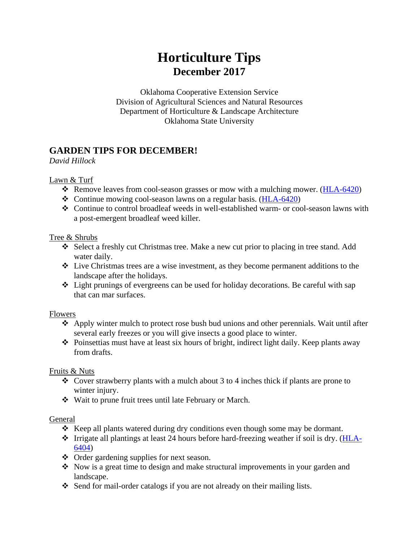## **Horticulture Tips December 2017**

Oklahoma Cooperative Extension Service Division of Agricultural Sciences and Natural Resources Department of Horticulture & Landscape Architecture Oklahoma State University

## **GARDEN TIPS FOR DECEMBER!**

*David Hillock*

Lawn & Turf

- ❖ Remove leaves from cool-season grasses or mow with a mulching mower. [\(HLA-6420\)](http://pods.dasnr.okstate.edu/docushare/dsweb/Get/Document-2299/HLA-6420web2017.pdf)
- ❖ Continue mowing cool-season lawns on a regular basis. [\(HLA-6420\)](http://pods.dasnr.okstate.edu/docushare/dsweb/Get/Document-2299/HLA-6420web2017.pdf)
- ❖ Continue to control broadleaf weeds in well-established warm- or cool-season lawns with a post-emergent broadleaf weed killer.

#### Tree & Shrubs

- ❖ Select a freshly cut Christmas tree. Make a new cut prior to placing in tree stand. Add water daily.
- ❖ Live Christmas trees are a wise investment, as they become permanent additions to the landscape after the holidays.
- ❖ Light prunings of evergreens can be used for holiday decorations. Be careful with sap that can mar surfaces.

#### **Flowers**

- ❖ Apply winter mulch to protect rose bush bud unions and other perennials. Wait until after several early freezes or you will give insects a good place to winter.
- ❖ Poinsettias must have at least six hours of bright, indirect light daily. Keep plants away from drafts.

#### Fruits & Nuts

- ❖ Cover strawberry plants with a mulch about 3 to 4 inches thick if plants are prone to winter injury.
- ❖ Wait to prune fruit trees until late February or March.

#### General

- ❖ Keep all plants watered during dry conditions even though some may be dormant.
- $\div$  Irrigate all plantings at least 24 hours before hard-freezing weather if soil is dry. [\(HLA-](http://pods.dasnr.okstate.edu/docushare/dsweb/Get/Document-1121/HLA-6404web.pdf)[6404\)](http://pods.dasnr.okstate.edu/docushare/dsweb/Get/Document-1121/HLA-6404web.pdf)
- ❖ Order gardening supplies for next season.
- ❖ Now is a great time to design and make structural improvements in your garden and landscape.
- ❖ Send for mail-order catalogs if you are not already on their mailing lists.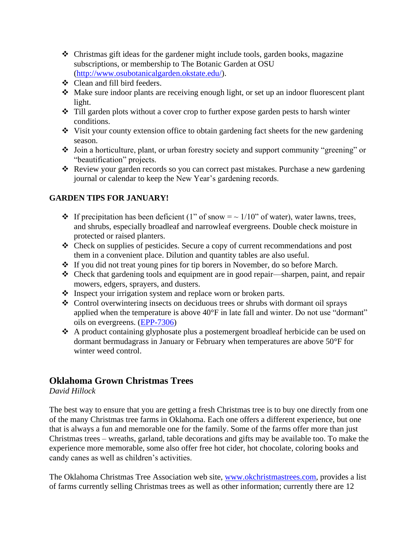- ❖ Christmas gift ideas for the gardener might include tools, garden books, magazine subscriptions, or membership to The Botanic Garden at OSU [\(http://www.osubotanicalgarden.okstate.edu/\)](http://www.osubotanicalgarden.okstate.edu/).
- ❖ Clean and fill bird feeders.
- ❖ Make sure indoor plants are receiving enough light, or set up an indoor fluorescent plant light.
- ❖ Till garden plots without a cover crop to further expose garden pests to harsh winter conditions.
- ❖ Visit your county extension office to obtain gardening fact sheets for the new gardening season.
- ❖ Join a horticulture, plant, or urban forestry society and support community "greening" or "beautification" projects.
- ❖ Review your garden records so you can correct past mistakes. Purchase a new gardening journal or calendar to keep the New Year's gardening records.

### **GARDEN TIPS FOR JANUARY!**

- $\cdot \cdot$  If precipitation has been deficient (1" of snow =  $\sim 1/10$ " of water), water lawns, trees, and shrubs, especially broadleaf and narrowleaf evergreens. Double check moisture in protected or raised planters.
- ❖ Check on supplies of pesticides. Secure a copy of current recommendations and post them in a convenient place. Dilution and quantity tables are also useful.
- ❖ If you did not treat young pines for tip borers in November, do so before March.
- ❖ Check that gardening tools and equipment are in good repair—sharpen, paint, and repair mowers, edgers, sprayers, and dusters.
- ❖ Inspect your irrigation system and replace worn or broken parts.
- ❖ Control overwintering insects on deciduous trees or shrubs with dormant oil sprays applied when the temperature is above 40°F in late fall and winter. Do not use "dormant" oils on evergreens. [\(EPP-7306\)](http://pods.dasnr.okstate.edu/docushare/dsweb/Get/Document-2281/EPP-7306web15.pdf)
- ❖ A product containing glyphosate plus a postemergent broadleaf herbicide can be used on dormant bermudagrass in January or February when temperatures are above 50°F for winter weed control.

## **Oklahoma Grown Christmas Trees**

#### *David Hillock*

The best way to ensure that you are getting a fresh Christmas tree is to buy one directly from one of the many Christmas tree farms in Oklahoma. Each one offers a different experience, but one that is always a fun and memorable one for the family. Some of the farms offer more than just Christmas trees – wreaths, garland, table decorations and gifts may be available too. To make the experience more memorable, some also offer free hot cider, hot chocolate, coloring books and candy canes as well as children's activities.

The Oklahoma Christmas Tree Association web site, [www.okchristmastrees.com,](http://www.okchristmastrees.com/) provides a list of farms currently selling Christmas trees as well as other information; currently there are 12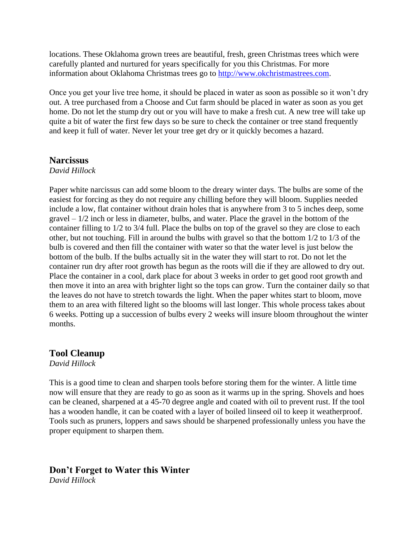locations. These Oklahoma grown trees are beautiful, fresh, green Christmas trees which were carefully planted and nurtured for years specifically for you this Christmas. For more information about Oklahoma Christmas trees go to [http://www.okchristmastrees.com.](http://www.okchristmastrees.com/)

Once you get your live tree home, it should be placed in water as soon as possible so it won't dry out. A tree purchased from a Choose and Cut farm should be placed in water as soon as you get home. Do not let the stump dry out or you will have to make a fresh cut. A new tree will take up quite a bit of water the first few days so be sure to check the container or tree stand frequently and keep it full of water. Never let your tree get dry or it quickly becomes a hazard.

#### **Narcissus**

#### *David Hillock*

Paper white narcissus can add some bloom to the dreary winter days. The bulbs are some of the easiest for forcing as they do not require any chilling before they will bloom. Supplies needed include a low, flat container without drain holes that is anywhere from 3 to 5 inches deep, some  $gravel - 1/2$  inch or less in diameter, bulbs, and water. Place the gravel in the bottom of the container filling to 1/2 to 3/4 full. Place the bulbs on top of the gravel so they are close to each other, but not touching. Fill in around the bulbs with gravel so that the bottom 1/2 to 1/3 of the bulb is covered and then fill the container with water so that the water level is just below the bottom of the bulb. If the bulbs actually sit in the water they will start to rot. Do not let the container run dry after root growth has begun as the roots will die if they are allowed to dry out. Place the container in a cool, dark place for about 3 weeks in order to get good root growth and then move it into an area with brighter light so the tops can grow. Turn the container daily so that the leaves do not have to stretch towards the light. When the paper whites start to bloom, move them to an area with filtered light so the blooms will last longer. This whole process takes about 6 weeks. Potting up a succession of bulbs every 2 weeks will insure bloom throughout the winter months.

#### **Tool Cleanup**

*David Hillock*

This is a good time to clean and sharpen tools before storing them for the winter. A little time now will ensure that they are ready to go as soon as it warms up in the spring. Shovels and hoes can be cleaned, sharpened at a 45-70 degree angle and coated with oil to prevent rust. If the tool has a wooden handle, it can be coated with a layer of boiled linseed oil to keep it weatherproof. Tools such as pruners, loppers and saws should be sharpened professionally unless you have the proper equipment to sharpen them.

#### **Don't Forget to Water this Winter**

*David Hillock*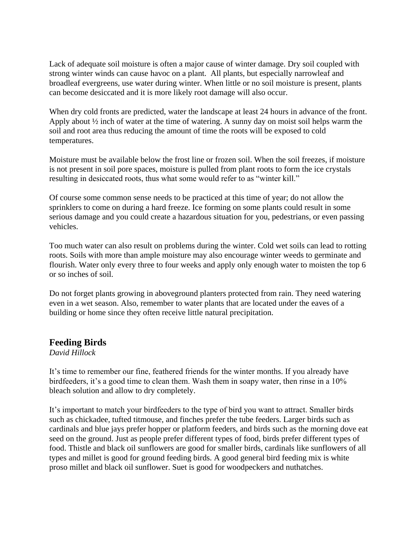Lack of adequate soil moisture is often a major cause of winter damage. Dry soil coupled with strong winter winds can cause havoc on a plant. All plants, but especially narrowleaf and broadleaf evergreens, use water during winter. When little or no soil moisture is present, plants can become desiccated and it is more likely root damage will also occur.

When dry cold fronts are predicted, water the landscape at least 24 hours in advance of the front. Apply about ½ inch of water at the time of watering. A sunny day on moist soil helps warm the soil and root area thus reducing the amount of time the roots will be exposed to cold temperatures.

Moisture must be available below the frost line or frozen soil. When the soil freezes, if moisture is not present in soil pore spaces, moisture is pulled from plant roots to form the ice crystals resulting in desiccated roots, thus what some would refer to as "winter kill."

Of course some common sense needs to be practiced at this time of year; do not allow the sprinklers to come on during a hard freeze. Ice forming on some plants could result in some serious damage and you could create a hazardous situation for you, pedestrians, or even passing vehicles.

Too much water can also result on problems during the winter. Cold wet soils can lead to rotting roots. Soils with more than ample moisture may also encourage winter weeds to germinate and flourish. Water only every three to four weeks and apply only enough water to moisten the top 6 or so inches of soil.

Do not forget plants growing in aboveground planters protected from rain. They need watering even in a wet season. Also, remember to water plants that are located under the eaves of a building or home since they often receive little natural precipitation.

#### **Feeding Birds**

*David Hillock*

It's time to remember our fine, feathered friends for the winter months. If you already have birdfeeders, it's a good time to clean them. Wash them in soapy water, then rinse in a 10% bleach solution and allow to dry completely.

It's important to match your birdfeeders to the type of bird you want to attract. Smaller birds such as chickadee, tufted titmouse, and finches prefer the tube feeders. Larger birds such as cardinals and blue jays prefer hopper or platform feeders, and birds such as the morning dove eat seed on the ground. Just as people prefer different types of food, birds prefer different types of food. Thistle and black oil sunflowers are good for smaller birds, cardinals like sunflowers of all types and millet is good for ground feeding birds. A good general bird feeding mix is white proso millet and black oil sunflower. Suet is good for woodpeckers and nuthatches.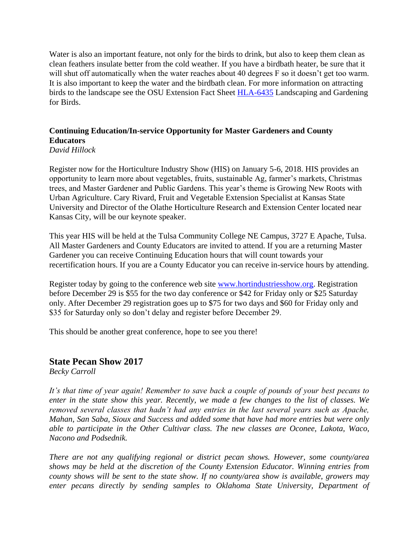Water is also an important feature, not only for the birds to drink, but also to keep them clean as clean feathers insulate better from the cold weather. If you have a birdbath heater, be sure that it will shut off automatically when the water reaches about 40 degrees F so it doesn't get too warm. It is also important to keep the water and the birdbath clean. For more information on attracting birds to the landscape see the OSU Extension Fact Sheet [HLA-6435](http://pods.dasnr.okstate.edu/docushare/dsweb/Get/Document-1129/HLA-6435web2013.pdf) Landscaping and Gardening for Birds.

## **Continuing Education/In-service Opportunity for Master Gardeners and County Educators**

*David Hillock*

Register now for the Horticulture Industry Show (HIS) on January 5-6, 2018. HIS provides an opportunity to learn more about vegetables, fruits, sustainable Ag, farmer's markets, Christmas trees, and Master Gardener and Public Gardens. This year's theme is Growing New Roots with Urban Agriculture. Cary Rivard, Fruit and Vegetable Extension Specialist at Kansas State University and Director of the Olathe Horticulture Research and Extension Center located near Kansas City, will be our keynote speaker.

This year HIS will be held at the Tulsa Community College NE Campus, 3727 E Apache, Tulsa. All Master Gardeners and County Educators are invited to attend. If you are a returning Master Gardener you can receive Continuing Education hours that will count towards your recertification hours. If you are a County Educator you can receive in-service hours by attending.

Register today by going to the conference web site [www.hortindustriesshow.org.](http://www.hortindustriesshow.org/) Registration before December 29 is \$55 for the two day conference or \$42 for Friday only or \$25 Saturday only. After December 29 registration goes up to \$75 for two days and \$60 for Friday only and \$35 for Saturday only so don't delay and register before December 29.

This should be another great conference, hope to see you there!

#### **State Pecan Show 2017**

*Becky Carroll*

*It's that time of year again! Remember to save back a couple of pounds of your best pecans to enter in the state show this year. Recently, we made a few changes to the list of classes. We removed several classes that hadn't had any entries in the last several years such as Apache, Mahan, San Saba, Sioux and Success and added some that have had more entries but were only able to participate in the Other Cultivar class. The new classes are Oconee, Lakota, Waco, Nacono and Podsednik.* 

*There are not any qualifying regional or district pecan shows. However, some county/area shows may be held at the discretion of the County Extension Educator. Winning entries from county shows will be sent to the state show. If no county/area show is available, growers may enter pecans directly by sending samples to Oklahoma State University, Department of*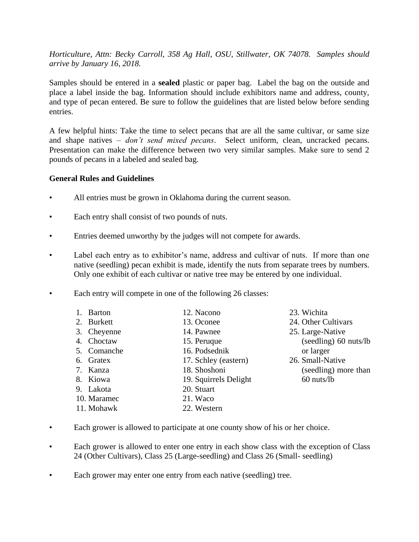*Horticulture, Attn: Becky Carroll, 358 Ag Hall, OSU, Stillwater, OK 74078. Samples should arrive by January 16, 2018.* 

Samples should be entered in a **sealed** plastic or paper bag. Label the bag on the outside and place a label inside the bag. Information should include exhibitors name and address, county, and type of pecan entered. Be sure to follow the guidelines that are listed below before sending entries.

A few helpful hints: Take the time to select pecans that are all the same cultivar, or same size and shape natives – *don't send mixed pecans*. Select uniform, clean, uncracked pecans. Presentation can make the difference between two very similar samples. Make sure to send 2 pounds of pecans in a labeled and sealed bag.

#### **General Rules and Guidelines**

- All entries must be grown in Oklahoma during the current season.
- Each entry shall consist of two pounds of nuts.
- Entries deemed unworthy by the judges will not compete for awards.
- Label each entry as to exhibitor's name, address and cultivar of nuts. If more than one native (seedling) pecan exhibit is made, identify the nuts from separate trees by numbers. Only one exhibit of each cultivar or native tree may be entered by one individual.
- Each entry will compete in one of the following 26 classes:

| 1. Barton   | 12. Nacono            |
|-------------|-----------------------|
| 2. Burkett  | 13. Oconee            |
| 3. Cheyenne | 14. Pawnee            |
| 4. Choctaw  | 15. Peruque           |
| 5. Comanche | 16. Podsednik         |
| 6. Gratex   | 17. Schley (eastern)  |
| 7. Kanza    | 18. Shoshoni          |
| 8. Kiowa    | 19. Squirrels Delight |
| 9. Lakota   | 20. Stuart            |
| 10. Maramec | 21. Waco              |
| 11. Mohawk  | 22. Western           |

- 23. Wichita 24. Other Cultivars 25. Large-Native (seedling) 60 nuts/lb or larger 26. Small-Native (seedling) more than 60 nuts/lb
- Each grower is allowed to participate at one county show of his or her choice.
- Each grower is allowed to enter one entry in each show class with the exception of Class 24 (Other Cultivars), Class 25 (Large-seedling) and Class 26 (Small- seedling)
- Each grower may enter one entry from each native (seedling) tree.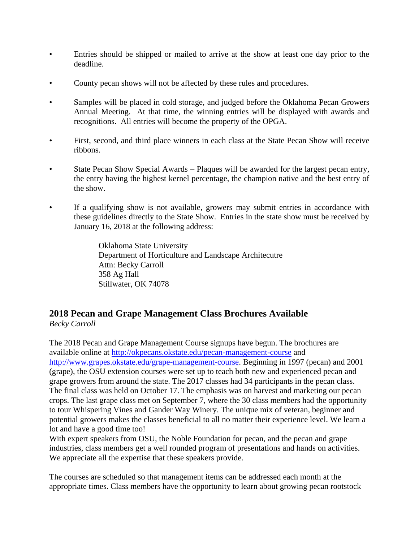- Entries should be shipped or mailed to arrive at the show at least one day prior to the deadline.
- County pecan shows will not be affected by these rules and procedures.
- Samples will be placed in cold storage, and judged before the Oklahoma Pecan Growers Annual Meeting. At that time, the winning entries will be displayed with awards and recognitions. All entries will become the property of the OPGA.
- First, second, and third place winners in each class at the State Pecan Show will receive ribbons.
- State Pecan Show Special Awards Plaques will be awarded for the largest pecan entry, the entry having the highest kernel percentage, the champion native and the best entry of the show.
- If a qualifying show is not available, growers may submit entries in accordance with these guidelines directly to the State Show. Entries in the state show must be received by January 16, 2018 at the following address:

Oklahoma State University Department of Horticulture and Landscape Architecutre Attn: Becky Carroll 358 Ag Hall Stillwater, OK 74078

# **2018 Pecan and Grape Management Class Brochures Available**

*Becky Carroll*

The 2018 Pecan and Grape Management Course signups have begun. The brochures are available online at<http://okpecans.okstate.edu/pecan-management-course> and [http://www.grapes.okstate.edu/grape-management-course.](http://www.grapes.okstate.edu/grape-management-course) Beginning in 1997 (pecan) and 2001 (grape), the OSU extension courses were set up to teach both new and experienced pecan and grape growers from around the state. The 2017 classes had 34 participants in the pecan class. The final class was held on October 17. The emphasis was on harvest and marketing our pecan crops. The last grape class met on September 7, where the 30 class members had the opportunity to tour Whispering Vines and Gander Way Winery. The unique mix of veteran, beginner and potential growers makes the classes beneficial to all no matter their experience level. We learn a lot and have a good time too!

With expert speakers from OSU, the Noble Foundation for pecan, and the pecan and grape industries, class members get a well rounded program of presentations and hands on activities. We appreciate all the expertise that these speakers provide.

The courses are scheduled so that management items can be addressed each month at the appropriate times. Class members have the opportunity to learn about growing pecan rootstock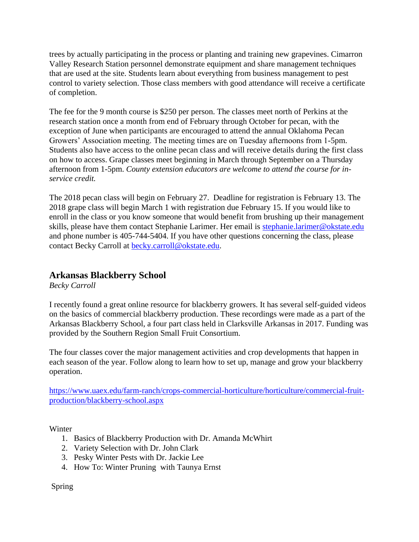trees by actually participating in the process or planting and training new grapevines. Cimarron Valley Research Station personnel demonstrate equipment and share management techniques that are used at the site. Students learn about everything from business management to pest control to variety selection. Those class members with good attendance will receive a certificate of completion.

The fee for the 9 month course is \$250 per person. The classes meet north of Perkins at the research station once a month from end of February through October for pecan, with the exception of June when participants are encouraged to attend the annual Oklahoma Pecan Growers' Association meeting. The meeting times are on Tuesday afternoons from 1-5pm. Students also have access to the online pecan class and will receive details during the first class on how to access. Grape classes meet beginning in March through September on a Thursday afternoon from 1-5pm. *County extension educators are welcome to attend the course for inservice credit.* 

The 2018 pecan class will begin on February 27. Deadline for registration is February 13. The 2018 grape class will begin March 1 with registration due February 15. If you would like to enroll in the class or you know someone that would benefit from brushing up their management skills, please have them contact Stephanie Larimer. Her email is [stephanie.larimer@okstate.edu](mailto:stephanie.larimer@okstate.edu) and phone number is 405-744-5404. If you have other questions concerning the class, please contact Becky Carroll at [becky.carroll@okstate.edu.](mailto:becky.carroll@okstate.edu)

## **Arkansas Blackberry School**

*Becky Carroll*

I recently found a great online resource for blackberry growers. It has several self-guided videos on the basics of commercial blackberry production. These recordings were made as a part of the Arkansas Blackberry School, a four part class held in Clarksville Arkansas in 2017. Funding was provided by the Southern Region Small Fruit Consortium.

The four classes cover the major management activities and crop developments that happen in each season of the year. Follow along to learn how to set up, manage and grow your blackberry operation.

[https://www.uaex.edu/farm-ranch/crops-commercial-horticulture/horticulture/commercial-fruit](https://www.uaex.edu/farm-ranch/crops-commercial-horticulture/horticulture/commercial-fruit-production/blackberry-school.aspx)[production/blackberry-school.aspx](https://www.uaex.edu/farm-ranch/crops-commercial-horticulture/horticulture/commercial-fruit-production/blackberry-school.aspx)

Winter

- 1. Basics of Blackberry Production with Dr. Amanda McWhirt
- 2. Variety Selection with Dr. John Clark
- 3. Pesky Winter Pests with Dr. Jackie Lee
- 4. How To: Winter Pruning with Taunya Ernst

Spring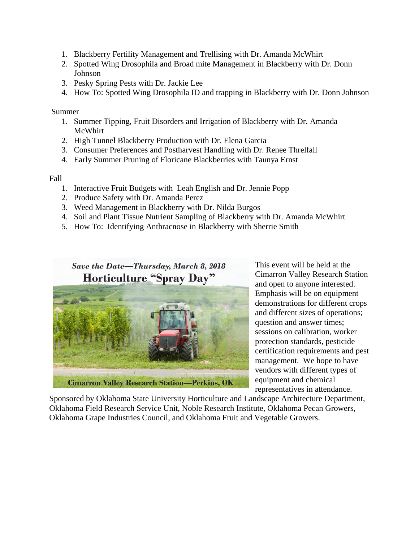- 1. Blackberry Fertility Management and Trellising with Dr. Amanda McWhirt
- 2. Spotted Wing Drosophila and Broad mite Management in Blackberry with Dr. Donn Johnson
- 3. Pesky Spring Pests with Dr. Jackie Lee
- 4. How To: Spotted Wing Drosophila ID and trapping in Blackberry with Dr. Donn Johnson

Summer

- 1. Summer Tipping, Fruit Disorders and Irrigation of Blackberry with Dr. Amanda McWhirt
- 2. High Tunnel Blackberry Production with Dr. Elena Garcia
- 3. Consumer Preferences and Postharvest Handling with Dr. Renee Threlfall
- 4. Early Summer Pruning of Floricane Blackberries with Taunya Ernst

Fall

- 1. Interactive Fruit Budgets with Leah English and Dr. Jennie Popp
- 2. Produce Safety with Dr. Amanda Perez
- 3. Weed Management in Blackberry with Dr. Nilda Burgos
- 4. Soil and Plant Tissue Nutrient Sampling of Blackberry with Dr. Amanda McWhirt
- 5. How To: Identifying Anthracnose in Blackberry with Sherrie Smith

## Save the Date-Thursday, March 8, 2018 **Horticulture "Spray Day"**



This event will be held at the Cimarron Valley Research Station and open to anyone interested. Emphasis will be on equipment demonstrations for different crops and different sizes of operations; question and answer times; sessions on calibration, worker protection standards, pesticide certification requirements and pest management. We hope to have vendors with different types of equipment and chemical representatives in attendance.

Sponsored by Oklahoma State University Horticulture and Landscape Architecture Department, Oklahoma Field Research Service Unit, Noble Research Institute, Oklahoma Pecan Growers, Oklahoma Grape Industries Council, and Oklahoma Fruit and Vegetable Growers.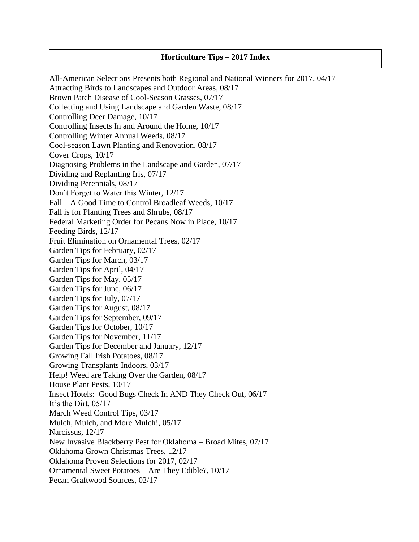#### **Horticulture Tips – 2017 Index**

All-American Selections Presents both Regional and National Winners for 2017, 04/17 Attracting Birds to Landscapes and Outdoor Areas, 08/17 Brown Patch Disease of Cool-Season Grasses, 07/17 Collecting and Using Landscape and Garden Waste, 08/17 Controlling Deer Damage, 10/17 Controlling Insects In and Around the Home, 10/17 Controlling Winter Annual Weeds, 08/17 Cool-season Lawn Planting and Renovation, 08/17 Cover Crops, 10/17 Diagnosing Problems in the Landscape and Garden, 07/17 Dividing and Replanting Iris, 07/17 Dividing Perennials, 08/17 Don't Forget to Water this Winter, 12/17 Fall – A Good Time to Control Broadleaf Weeds, 10/17 Fall is for Planting Trees and Shrubs, 08/17 Federal Marketing Order for Pecans Now in Place, 10/17 Feeding Birds, 12/17 Fruit Elimination on Ornamental Trees, 02/17 Garden Tips for February, 02/17 Garden Tips for March, 03/17 Garden Tips for April, 04/17 Garden Tips for May, 05/17 Garden Tips for June, 06/17 Garden Tips for July, 07/17 Garden Tips for August, 08/17 Garden Tips for September, 09/17 Garden Tips for October, 10/17 Garden Tips for November, 11/17 Garden Tips for December and January, 12/17 Growing Fall Irish Potatoes, 08/17 Growing Transplants Indoors, 03/17 Help! Weed are Taking Over the Garden, 08/17 House Plant Pests, 10/17 Insect Hotels: Good Bugs Check In AND They Check Out, 06/17 It's the Dirt, 05/17 March Weed Control Tips, 03/17 Mulch, Mulch, and More Mulch!, 05/17 Narcissus, 12/17 New Invasive Blackberry Pest for Oklahoma – Broad Mites, 07/17 Oklahoma Grown Christmas Trees, 12/17 Oklahoma Proven Selections for 2017, 02/17 Ornamental Sweet Potatoes – Are They Edible?, 10/17 Pecan Graftwood Sources, 02/17